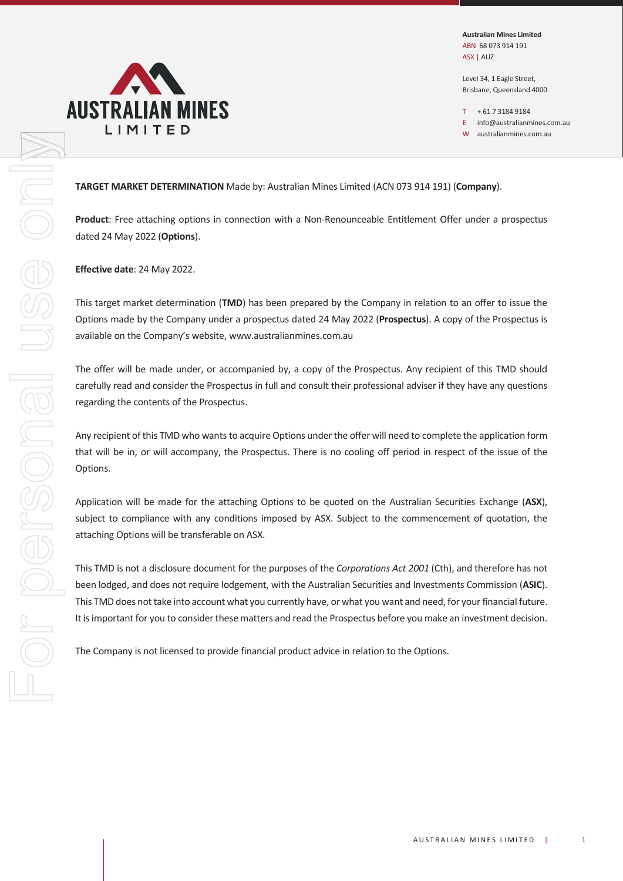

Australian Mines Limited ABN 68 073 914 191 ASX | AUZ

Level 34, 1 Eagle Street, Brisbane, Queensland 4000

 $T + 61731849184$ 

E info@australianmines.com.au

W australianmines.com.au

TARGET MARKET DETERMINATION Made by: Australian Mines Limited (ACN 073 914 191) (Company).

dated 24 May 2022 (Options).

Effective date: 24 May 2022.

This target market determination (TMD) has been prepared by the Company in relation to an offer to issue the Options made by the Company under a prospectus dated 24 May 2022 (Prospectus). A copy of the Prospectus is available on the Company's website, www.australianmines.com.au

The offer will be made under, or accompanied by, a copy of the Prospectus. Any recipient of this TMD should **L I M I T E D**<br>
<sup>t</sup> moratalemines.com.a)<br> **TARGET MARKET DETERMINATION** Made by: Australian Mines Limited (ACN 073 914 191) (Company).<br> **Product:** Free attaching options in connection with a Non-Renounceable Entitlement O regarding the contents of the Prospectus.

Any recipient of this TMD who wants to acquire Options under the offer will need to complete the application form that will be in, or will accompany, the Prospectus. There is no cooling off period in respect of the issue of the Options.

Application will be made for the attaching Options to be quoted on the Australian Securities Exchange (ASX), subject to compliance with any conditions imposed by ASX. Subject to the commencement of quotation, the attaching Options will be transferable on ASX.

Investments Commission (**ASIC**).<br>
Indeed, for your financial future.<br>
Ou make an investment decision.<br>
Options.<br>
AUSTRALIAN MINES LIMITED | 1 This TMD is not a disclosure document for the purposes of the Corporations Act 2001 (Cth), and therefore has not been lodged, and does not require lodgement, with the Australian Securities and Investments Commission (ASIC). This TMD does not take into account what you currently have, or what you want and need, for your financial future. It is important for you to consider these matters and read the Prospectus before you make an investment decision.

The Company is not licensed to provide financial product advice in relation to the Options.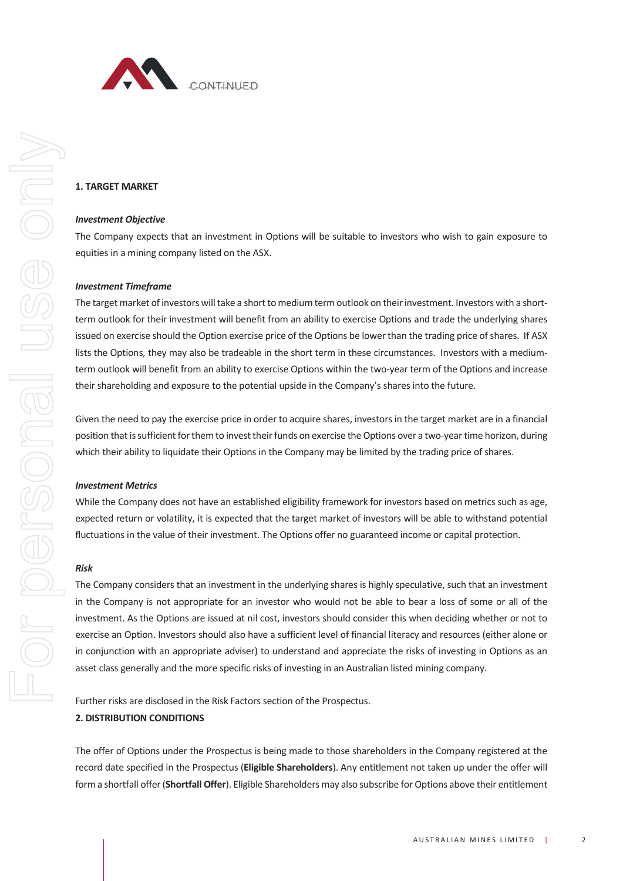

### 1. TARGET MARKET

#### Investment Objective

The Company expects that an investment in Options will be suitable to investors who wish to gain exposure to equities in a mining company listed on the ASX.

#### Investment Timeframe

The target market of investors will take a short to medium term outlook on their investment. Investors with a shortterm outlook for their investment will benefit from an ability to exercise Options and trade the underlying shares issued on exercise should the Option exercise price of the Options be lower than the trading price of shares. If ASX lists the Options, they may also be tradeable in the short term in these circumstances. Investors with a mediumterm outlook will benefit from an ability to exercise Options within the two-year term of the Options and increase their shareholding and exposure to the potential upside in the Company's shares into the future. me company frame to metric and three company listed on the ASX.<br>
Investment Timeframe<br>
The target market of investors will take a short to medium term outlook on their investment. Investors with a short-<br>
term outlook for

Given the need to pay the exercise price in order to acquire shares, investors in the target market are in a financial position that is sufficient for them to invest their funds on exercise the Options over a two-year time horizon, during which their ability to liquidate their Options in the Company may be limited by the trading price of shares.

### Investment Metrics

expected return or volatility, it is expected that the target market of investors will be able to withstand potential fluctuations in the value of their investment. The Options offer no guaranteed income or capital protection.

### Risk

culative, such that an investment<br>
bear a loss of some or all of the<br>
phen deciding whether or not to<br>
cy and resources (either alone or<br>
sks of investing in Options as an<br>
mining company.<br>
n<br>
in the Company registered at The Company considers that an investment in the underlying shares is highly speculative, such that an investment in the Company is not appropriate for an investor who would not be able to bear a loss of some or all of the investment. As the Options are issued at nil cost, investors should consider this when deciding whether or not to exercise an Option. Investors should also have a sufficient level of financial literacy and resources (either alone or in conjunction with an appropriate adviser) to understand and appreciate the risks of investing in Options as an asset class generally and the more specific risks of investing in an Australian listed mining company. both their ability to liquidate their Options in the Company may be limited by the trading price of shares.<br>
Investment Metrics<br>
Which their ability to liquidate their Options in the Company may be limited by the trading p

### 2. DISTRIBUTION CONDITIONS

The offer of Options under the Prospectus is being made to those shareholders in the Company registered at the record date specified in the Prospectus (Eligible Shareholders). Any entitlement not taken up under the offer will form a shortfall offer (Shortfall Offer). Eligible Shareholders may also subscribe for Options above their entitlement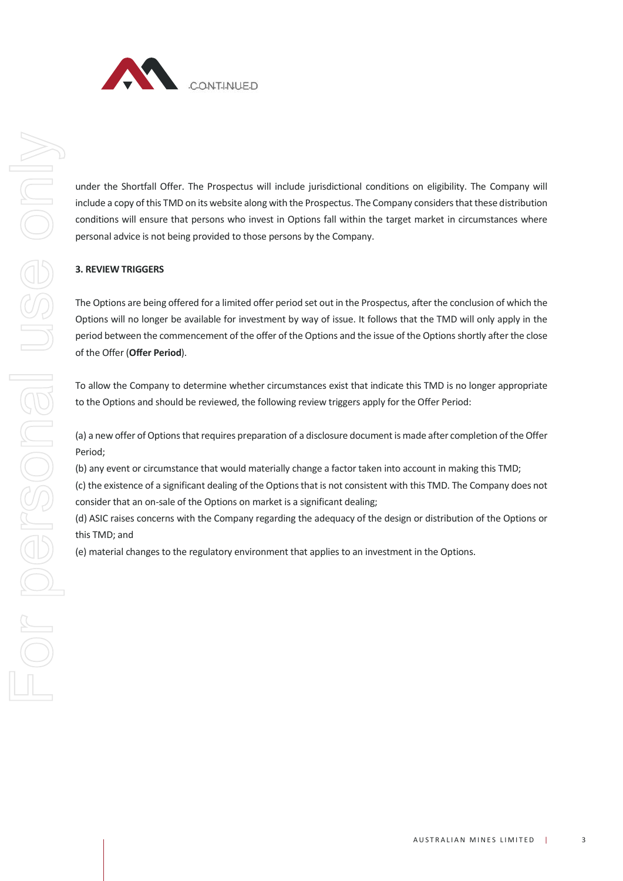

under the Shortfall Offer. The Prospectus will include jurisdictional conditions on eligibility. The Company will include a copy of this TMD on its website along with the Prospectus. The Company considers that these distribution conditions will ensure that persons who invest in Options fall within the target market in circumstances where personal advice is not being provided to those persons by the Company.

# 3. REVIEW TRIGGERS

The Options are being offered for a limited offer period set out in the Prospectus, after the conclusion of which the Options will no longer be available for investment by way of issue. It follows that the TMD will only apply in the period between the commencement of the offer of the Options and the issue of the Options shortly after the close of the Offer (Offer Period). 3. REVIEW TRIGGERS<br>The Options are being offered for a limited offer period set out in the Prospectus, after the conclusion of which the<br>Dptions will no longer be available for investment by way of issue. It follows that t

To allow the Company to determine whether circumstances exist that indicate this TMD is no longer appropriate to the Options and should be reviewed, the following review triggers apply for the Offer Period:

(a) a new offer of Options that requires preparation of a disclosure document is made after completion of the Offer Period;

(b) any event or circumstance that would materially change a factor taken into account in making this TMD; (c) the existence of a significant dealing of the Options that is not consistent with this TMD. The Company does not

(d) ASIC raises concerns with the Company regarding the adequacy of the design or distribution of the Options or this TMD; and

(e) material changes to the regulatory environment that applies to an investment in the Options.